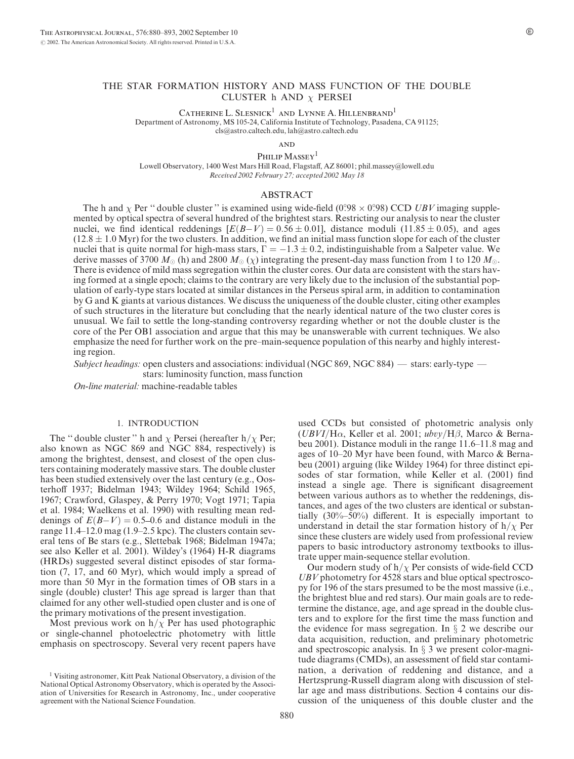## THE STAR FORMATION HISTORY AND MASS FUNCTION OF THE DOUBLE CLUSTER h AND  $\chi$  PERSEI

CATHERINE L. SLESNICK<sup>1</sup> AND LYNNE A. HILLENBRAND<sup>1</sup>

Department of Astronomy, MS 105-24, California Institute of Technology, Pasadena, CA 91125;

cls@astro.caltech.edu, lah@astro.caltech.edu

**AND** 

PHILIP  $\mathbf{M} \mathbf{ASSE}\mathbf{Y}^1$ 

Lowell Observatory, 1400 West Mars Hill Road, Flagstaff, AZ 86001; phil.massey@lowell.edu Received 2002 February 27; accepted 2002 May 18

## ABSTRACT

The h and  $\chi$  Per " double cluster " is examined using wide-field (0.98  $\times$  0.98) CCD UBV imaging supplemented by optical spectra of several hundred of the brightest stars. Restricting our analysis to near the cluster nuclei, we find identical reddenings  $[E(B-V) = 0.56 \pm 0.01]$ , distance moduli (11.85  $\pm$  0.05), and ages  $(12.8 \pm 1.0 \text{ Myr})$  for the two clusters. In addition, we find an initial mass function slope for each of the cluster nuclei that is quite normal for high-mass stars,  $\Gamma = -1.3 \pm 0.2$ , indistinguishable from a Salpeter value. We derive masses of 3700  $M_{\odot}$  (h) and 2800  $M_{\odot}$  ( $\chi$ ) integrating the present-day mass function from 1 to 120  $M_{\odot}$ . There is evidence of mild mass segregation within the cluster cores. Our data are consistent with the stars having formed at a single epoch; claims to the contrary are very likely due to the inclusion of the substantial population of early-type stars located at similar distances in the Perseus spiral arm, in addition to contamination by G and K giants at various distances. We discuss the uniqueness of the double cluster, citing other examples of such structures in the literature but concluding that the nearly identical nature of the two cluster cores is unusual. We fail to settle the long-standing controversy regarding whether or not the double cluster is the core of the Per OB1 association and argue that this may be unanswerable with current techniques. We also emphasize the need for further work on the pre–main-sequence population of this nearby and highly interesting region.

Subject headings: open clusters and associations: individual (NGC 869, NGC 884) — stars: early-type —

stars: luminosity function, mass function

On-line material: machine-readable tables

## 1. INTRODUCTION

The "double cluster" h and  $\chi$  Persei (hereafter h/ $\chi$  Per; also known as NGC 869 and NGC 884, respectively) is among the brightest, densest, and closest of the open clusters containing moderately massive stars. The double cluster has been studied extensively over the last century (e.g., Oosterhoff 1937; Bidelman 1943; Wildey 1964; Schild 1965, 1967; Crawford, Glaspey, & Perry 1970; Vogt 1971; Tapia et al. 1984; Waelkens et al. 1990) with resulting mean reddenings of  $E(B-V) = 0.5{\text -}0.6$  and distance moduli in the range 11.4–12.0 mag (1.9–2.5 kpc). The clusters contain several tens of Be stars (e.g., Slettebak 1968; Bidelman 1947a; see also Keller et al. 2001). Wildey's (1964) H-R diagrams (HRDs) suggested several distinct episodes of star formation (7, 17, and 60 Myr), which would imply a spread of more than 50 Myr in the formation times of OB stars in a single (double) cluster! This age spread is larger than that claimed for any other well-studied open cluster and is one of the primary motivations of the present investigation.

Most previous work on  $h/\chi$  Per has used photographic or single-channel photoelectric photometry with little emphasis on spectroscopy. Several very recent papers have

used CCDs but consisted of photometric analysis only  $(UBVI/H\alpha$ , Keller et al. 2001; ubvy/H $\beta$ , Marco & Bernabeu 2001). Distance moduli in the range 11.6–11.8 mag and ages of 10–20 Myr have been found, with Marco & Bernabeu (2001) arguing (like Wildey 1964) for three distinct episodes of star formation, while Keller et al. (2001) find instead a single age. There is significant disagreement between various authors as to whether the reddenings, distances, and ages of the two clusters are identical or substantially (30%–50%) different. It is especially important to understand in detail the star formation history of  $h/\chi$  Per since these clusters are widely used from professional review papers to basic introductory astronomy textbooks to illustrate upper main-sequence stellar evolution.

Our modern study of  $h/\chi$  Per consists of wide-field CCD UBV photometry for 4528 stars and blue optical spectroscopy for 196 of the stars presumed to be the most massive (i.e., the brightest blue and red stars). Our main goals are to redetermine the distance, age, and age spread in the double clusters and to explore for the first time the mass function and the evidence for mass segregation. In  $\S$  2 we describe our data acquisition, reduction, and preliminary photometric and spectroscopic analysis. In  $\S$  3 we present color-magnitude diagrams (CMDs), an assessment of field star contamination, a derivation of reddening and distance, and a Hertzsprung-Russell diagram along with discussion of stellar age and mass distributions. Section 4 contains our discussion of the uniqueness of this double cluster and the

<sup>1</sup> Visiting astronomer, Kitt Peak National Observatory, a division of the National Optical Astronomy Observatory, which is operated by the Association of Universities for Research in Astronomy, Inc., under cooperative agreement with the National Science Foundation.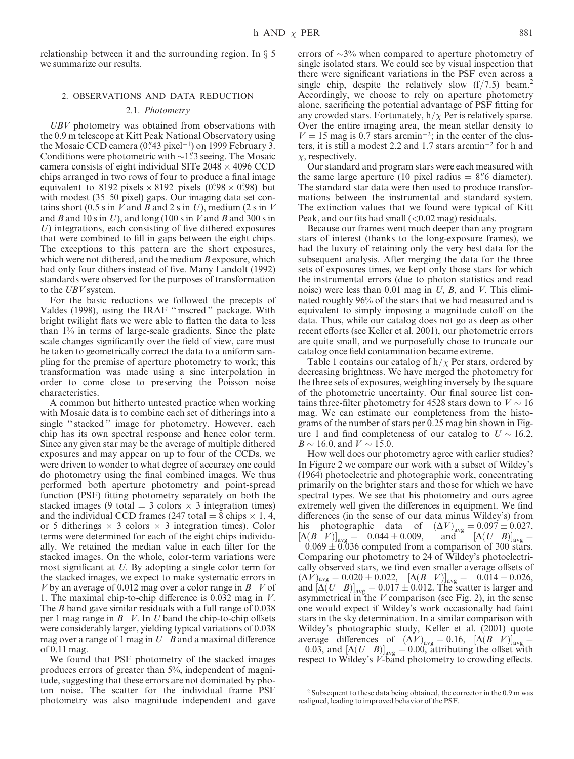relationship between it and the surrounding region. In  $\S$  5 we summarize our results.

# 2. OBSERVATIONS AND DATA REDUCTION

## 2.1. Photometry

UBV photometry was obtained from observations with the 0.9 m telescope at Kitt Peak National Observatory using the Mosaic CCD camera  $(0.^{n}43$  pixel<sup>-1</sup>) on 1999 February 3. Conditions were photometric with  $\sim$ 1". Seeing. The Mosaic camera consists of eight individual SITe  $2048 \times 4096$  CCD chips arranged in two rows of four to produce a final image equivalent to 8192 pixels  $\times$  8192 pixels (0.98  $\times$  0.98) but with modest (35–50 pixel) gaps. Our imaging data set contains short (0.5 s in V and B and 2 s in U), medium (2 s in V and B and 10 s in U), and long (100 s in V and B and 300 s in U) integrations, each consisting of five dithered exposures that were combined to fill in gaps between the eight chips. The exceptions to this pattern are the short exposures, which were not dithered, and the medium  $B$  exposure, which had only four dithers instead of five. Many Landolt (1992) standards were observed for the purposes of transformation to the *UBV* system.

For the basic reductions we followed the precepts of Valdes (1998), using the IRAF '' mscred '' package. With bright twilight flats we were able to flatten the data to less than 1% in terms of large-scale gradients. Since the plate scale changes significantly over the field of view, care must be taken to geometrically correct the data to a uniform sampling for the premise of aperture photometry to work; this transformation was made using a sinc interpolation in order to come close to preserving the Poisson noise characteristics.

A common but hitherto untested practice when working with Mosaic data is to combine each set of ditherings into a single "stacked" image for photometry. However, each chip has its own spectral response and hence color term. Since any given star may be the average of multiple dithered exposures and may appear on up to four of the CCDs, we were driven to wonder to what degree of accuracy one could do photometry using the final combined images. We thus performed both aperture photometry and point-spread function (PSF) fitting photometry separately on both the stacked images (9 total = 3 colors  $\times$  3 integration times) and the individual CCD frames (247 total = 8 chips  $\times$  1, 4, or 5 ditherings  $\times$  3 colors  $\times$  3 integration times). Color terms were determined for each of the eight chips individually. We retained the median value in each filter for the stacked images. On the whole, color-term variations were most significant at U. By adopting a single color term for the stacked images, we expect to make systematic errors in V by an average of 0.012 mag over a color range in  $B-V$  of 1. The maximal chip-to-chip difference is 0.032 mag in V. The B band gave similar residuals with a full range of 0.038 per 1 mag range in B-V. In U band the chip-to-chip offsets were considerably larger, yielding typical variations of 0.038 mag over a range of 1 mag in  $U-B$  and a maximal difference of 0.11 mag.

We found that PSF photometry of the stacked images produces errors of greater than 5%, independent of magnitude, suggesting that these errors are not dominated by photon noise. The scatter for the individual frame PSF photometry was also magnitude independent and gave

errors of  $\sim$ 3% when compared to aperture photometry of single isolated stars. We could see by visual inspection that there were significant variations in the PSF even across a single chip, despite the relatively slow  $(f/7.5)$  beam.<sup>2</sup> Accordingly, we choose to rely on aperture photometry alone, sacrificing the potential advantage of PSF fitting for any crowded stars. Fortunately,  $h/\chi$  Per is relatively sparse. Over the entire imaging area, the mean stellar density to  $V = 15$  mag is 0.7 stars arcmin<sup>-2</sup>; in the center of the clusters, it is still a modest 2.2 and 1.7 stars arcmin-<sup>2</sup> for h and  $\chi$ , respectively.

Our standard and program stars were each measured with the same large aperture (10 pixel radius  $= 8\%$  diameter). The standard star data were then used to produce transformations between the instrumental and standard system. The extinction values that we found were typical of Kitt Peak, and our fits had small  $( $0.02 \text{ mag}$ )$  residuals.

Because our frames went much deeper than any program stars of interest (thanks to the long-exposure frames), we had the luxury of retaining only the very best data for the subsequent analysis. After merging the data for the three sets of exposures times, we kept only those stars for which the instrumental errors (due to photon statistics and read noise) were less than  $0.01$  mag in U, B, and V. This eliminated roughly 96% of the stars that we had measured and is equivalent to simply imposing a magnitude cutoff on the data. Thus, while our catalog does not go as deep as other recent efforts (see Keller et al. 2001), our photometric errors are quite small, and we purposefully chose to truncate our catalog once field contamination became extreme.

Table 1 contains our catalog of  $h/\chi$  Per stars, ordered by decreasing brightness. We have merged the photometry for the three sets of exposures, weighting inversely by the square of the photometric uncertainty. Our final source list contains three-filter photometry for 4528 stars down to  $V \sim 16$ mag. We can estimate our completeness from the histograms of the number of stars per 0.25 mag bin shown in Figure 1 and find completeness of our catalog to  $U \sim 16.2$ ,  $B \sim 16.0$ , and  $V \sim 15.0$ .

How well does our photometry agree with earlier studies? In Figure 2 we compare our work with a subset of Wildey's (1964) photoelectric and photographic work, concentrating primarily on the brighter stars and those for which we have spectral types. We see that his photometry and ours agree extremely well given the differences in equipment. We find differences (in the sense of our data minus Wildey's) from his photographic data of  $(\Delta V)_{\text{avg}} = 0.097 \pm 0.027$ ,  $[\Delta(B-V)]_{\text{avg}} = -0.044 \pm 0.009$ , and  $[\Delta(U-B)]_{\text{avg}} =$  $-0.069 \pm 0.036$  computed from a comparison of 300 stars. Comparing our photometry to 24 of Wildey's photoelectrically observed stars, we find even smaller average offsets of  $(\Delta V)_{\text{avg}} = 0.020 \pm 0.022, \quad [\Delta (B-V)]_{\text{avg}} = -0.014 \pm 0.026,$ and  $\left[\Delta(U-B)\right]_{\text{avg}} = 0.017 \pm 0.012$ . The scatter is larger and asymmetrical in the  $V$  comparison (see Fig. 2), in the sense one would expect if Wildey's work occasionally had faint stars in the sky determination. In a similar comparison with Wildey's photographic study, Keller et al. (2001) quote average differences of  $(\Delta V)_{\text{avg}} = 0.16$ ,  $[\Delta (B-V)]_{\text{avg}} =$  $[-0.03, \text{ and } [\Delta(U-B)]_{\text{avg}} = 0.00, \text{ attributing the offset with}$ respect to Wildey's V-band photometry to crowding effects.

<sup>2</sup> Subsequent to these data being obtained, the corrector in the 0.9 m was realigned, leading to improved behavior of the PSF.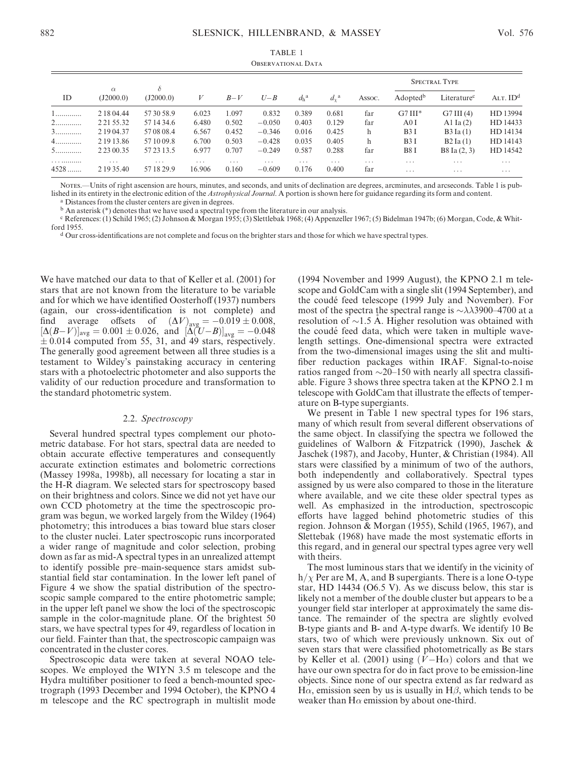| <b>OBSERVATIONAL DATA</b> |                |            |          |          |          |               |             |                         |                      |                         |            |
|---------------------------|----------------|------------|----------|----------|----------|---------------|-------------|-------------------------|----------------------|-------------------------|------------|
|                           | $\alpha$       | $\delta$   |          |          |          |               |             |                         | <b>SPECTRAL TYPE</b> |                         |            |
| ID                        | (J2000.0)      | (J2000.0)  | V        | $B-V$    | $U - B$  | $d_h^{\rm a}$ | $d_{v}^{a}$ | Assoc.                  | Adopted <sup>b</sup> | Literature <sup>c</sup> | ALT. $IDd$ |
| 1                         | 2 18 04.44     | 57 30 58.9 | 6.023    | 1.097    | 0.832    | 0.389         | 0.681       | far                     | $G7III*$             | G7III(4)                | HD 13994   |
| 2                         | 2 2 1 5 5 .3 2 | 57 14 34.6 | 6.480    | 0.502    | $-0.050$ | 0.403         | 0.129       | far                     | A0I                  | Al Ia $(2)$             | HD 14433   |
| 3                         | 2 19 04.37     | 57 08 08.4 | 6.567    | 0.452    | $-0.346$ | 0.016         | 0.425       | h                       | B3I                  | B3 Ia(1)                | HD 14134   |
| 4.                        | 2 19 13.86     | 57 10 09.8 | 6.700    | 0.503    | $-0.428$ | 0.035         | 0.405       | h                       | B3I                  | B2 Ia(1)                | HD 14143   |
| 5.                        | 2 2 3 0 0.35   | 57 23 13.5 | 6.977    | 0.707    | $-0.249$ | 0.587         | 0.288       | far                     | B8I                  | B8 Ia (2, 3)            | HD 14542   |
|                           | $\cdot$        | $\cdots$   | $\cdots$ | $\cdots$ | $\cdots$ | $\cdots$      | $\cdots$    | $\cdot$ $\cdot$ $\cdot$ | $\cdots$             | $\cdot$                 | $\cdots$   |
| $4528$                    | 2 19 35.40     | 57 18 29.9 | 16.906   | 0.160    | $-0.609$ | 0.176         | 0.400       | far                     | .                    | $\cdots$                | $\cdots$   |

Notes.—Units of right ascension are hours, minutes, and seconds, and units of declination are degrees, arcminutes, and arcseconds. Table 1 is published in its entirety in the electronic edition of the Astrophysical Journal. A portion is shown here for guidance regarding its form and content.

<sup>a</sup> Distances from the cluster centers are given in degrees.

<sup>b</sup> An asterisk (\*) denotes that we have used a spectral type from the literature in our analysis.

<sup>c</sup> References: (1) Schild 1965; (2) Johnson & Morgan 1955; (3) Slettlebak 1968; (4) Appenzeller 1967; (5) Bidelman 1947b; (6) Morgan, Code, & Whitford 1955.

<sup>d</sup> Our cross-identifications are not complete and focus on the brighter stars and those for which we have spectral types.

We have matched our data to that of Keller et al. (2001) for stars that are not known from the literature to be variable and for which we have identified Oosterhoff (1937) numbers (again, our cross-identification is not complete) and find average offsets of  $(\Delta V)_{\text{avg}} = -0.019 \pm 0.008$ ,  $[\Delta(B-V)]_{\text{avg}} = 0.001 \pm 0.026$ , and  $[\Delta(U-B)]_{\text{avg}} = -0.048$  $\pm$  0.014 computed from 55, 31, and 49 stars, respectively. The generally good agreement between all three studies is a testament to Wildey's painstaking accuracy in centering stars with a photoelectric photometer and also supports the validity of our reduction procedure and transformation to the standard photometric system.

## 2.2. Spectroscopy

Several hundred spectral types complement our photometric database. For hot stars, spectral data are needed to obtain accurate effective temperatures and consequently accurate extinction estimates and bolometric corrections (Massey 1998a, 1998b), all necessary for locating a star in the H-R diagram. We selected stars for spectroscopy based on their brightness and colors. Since we did not yet have our own CCD photometry at the time the spectroscopic program was begun, we worked largely from the Wildey (1964) photometry; this introduces a bias toward blue stars closer to the cluster nuclei. Later spectroscopic runs incorporated a wider range of magnitude and color selection, probing down as far as mid-A spectral types in an unrealized attempt to identify possible pre–main-sequence stars amidst substantial field star contamination. In the lower left panel of Figure 4 we show the spatial distribution of the spectroscopic sample compared to the entire photometric sample; in the upper left panel we show the loci of the spectroscopic sample in the color-magnitude plane. Of the brightest 50 stars, we have spectral types for 49, regardless of location in our field. Fainter than that, the spectroscopic campaign was concentrated in the cluster cores.

Spectroscopic data were taken at several NOAO telescopes. We employed the WIYN 3.5 m telescope and the Hydra multifiber positioner to feed a bench-mounted spectrograph (1993 December and 1994 October), the KPNO 4 m telescope and the RC spectrograph in multislit mode

(1994 November and 1999 August), the KPNO 2.1 m telescope and GoldCam with a single slit (1994 September), and the coude´ feed telescope (1999 July and November). For most of the spectra the spectral range is  $\sim \lambda \lambda$ 3900–4700 at a resolution of  $\sim$ 1.5 A. Higher resolution was obtained with the coudé feed data, which were taken in multiple wavelength settings. One-dimensional spectra were extracted from the two-dimensional images using the slit and multifiber reduction packages within IRAF. Signal-to-noise ratios ranged from  $\sim$ 20–150 with nearly all spectra classifiable. Figure 3 shows three spectra taken at the KPNO 2.1 m telescope with GoldCam that illustrate the effects of temperature on B-type supergiants.

We present in Table 1 new spectral types for 196 stars, many of which result from several different observations of the same object. In classifying the spectra we followed the guidelines of Walborn & Fitzpatrick (1990), Jaschek & Jaschek (1987), and Jacoby, Hunter, & Christian (1984). All stars were classified by a minimum of two of the authors, both independently and collaboratively. Spectral types assigned by us were also compared to those in the literature where available, and we cite these older spectral types as well. As emphasized in the introduction, spectroscopic efforts have lagged behind photometric studies of this region. Johnson & Morgan (1955), Schild (1965, 1967), and Slettebak (1968) have made the most systematic efforts in this regard, and in general our spectral types agree very well with theirs.

The most luminous stars that we identify in the vicinity of  $h/\chi$  Per are M, A, and B supergiants. There is a lone O-type star, HD 14434 (O6.5 V). As we discuss below, this star is likely not a member of the double cluster but appears to be a younger field star interloper at approximately the same distance. The remainder of the spectra are slightly evolved B-type giants and B- and A-type dwarfs. We identify 10 Be stars, two of which were previously unknown. Six out of seven stars that were classified photometrically as Be stars by Keller et al. (2001) using  $(V-H\alpha)$  colors and that we have our own spectra for do in fact prove to be emission-line objects. Since none of our spectra extend as far redward as  $H\alpha$ , emission seen by us is usually in  $H\beta$ , which tends to be weaker than  $H\alpha$  emission by about one-third.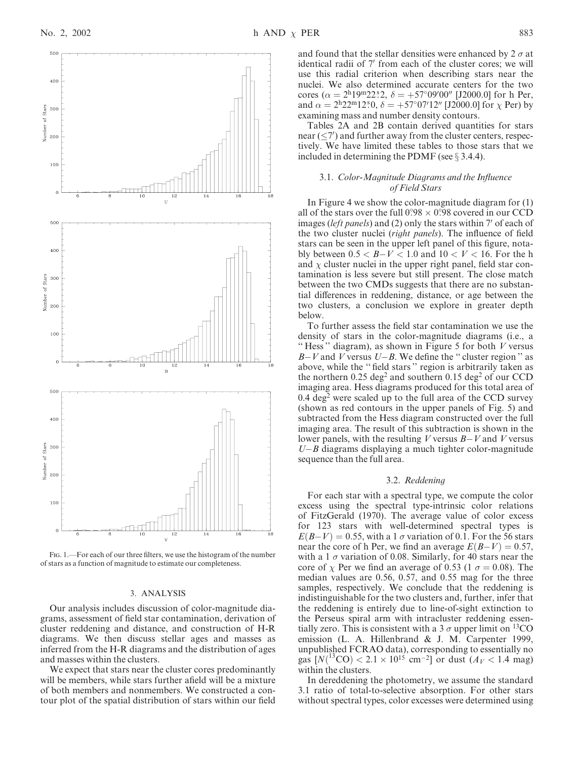

and found that the stellar densities were enhanced by  $2 \sigma$  at identical radii of 7' from each of the cluster cores; we will use this radial criterion when describing stars near the nuclei. We also determined accurate centers for the two cores ( $\alpha = 2^{\text{h}}19^{\text{m}}22^{\text{s}}2$ ,  $\delta = +57^{\circ}09'00''$  [J2000.0] for h Per, and  $\alpha = 2^{\text{h}} 22^{\text{m}} 12^{\text{s}} 0$ ,  $\delta = +57^{\circ} 07' 12''$  [J2000.0] for  $\chi$  Per) by examining mass and number density contours.

Tables 2A and 2B contain derived quantities for stars near  $(\leq 7')$  and further away from the cluster centers, respectively. We have limited these tables to those stars that we included in determining the PDMF (see  $\S$  3.4.4).

## 3.1. Color-Magnitude Diagrams and the Influence of Field Stars

In Figure 4 we show the color-magnitude diagram for (1) all of the stars over the full  $0.98 \times 0.98$  covered in our CCD images (*left panels*) and (2) only the stars within 7' of each of the two cluster nuclei (*right panels*). The influence of field stars can be seen in the upper left panel of this figure, notably between  $0.5 < B - V < 1.0$  and  $10 < V < 16$ . For the h and  $\chi$  cluster nuclei in the upper right panel, field star contamination is less severe but still present. The close match between the two CMDs suggests that there are no substantial differences in reddening, distance, or age between the two clusters, a conclusion we explore in greater depth below.

To further assess the field star contamination we use the density of stars in the color-magnitude diagrams (i.e., a "Hess" diagram), as shown in Figure 5 for both  $V$  versus  $B-V$  and V versus  $U-B$ . We define the "cluster region" as above, while the '' field stars '' region is arbitrarily taken as the northern 0.25 deg<sup>2</sup> and southern 0.15 deg<sup>2</sup> of our CCD imaging area. Hess diagrams produced for this total area of  $0.4 \text{ deg}^2$  were scaled up to the full area of the CCD survey (shown as red contours in the upper panels of Fig. 5) and subtracted from the Hess diagram constructed over the full imaging area. The result of this subtraction is shown in the lower panels, with the resulting  $V$  versus  $B-V$  and  $V$  versus  $U-B$  diagrams displaying a much tighter color-magnitude sequence than the full area.

### 3.2. Reddening

For each star with a spectral type, we compute the color excess using the spectral type-intrinsic color relations of FitzGerald (1970). The average value of color excess for 123 stars with well-determined spectral types is  $E(B-V) = 0.55$ , with a 1  $\sigma$  variation of 0.1. For the 56 stars near the core of h Per, we find an average  $E(B-V) = 0.57$ , with a 1  $\sigma$  variation of 0.08. Similarly, for 40 stars near the core of  $\chi$  Per we find an average of 0.53 (1  $\sigma$  = 0.08). The median values are 0.56, 0.57, and 0.55 mag for the three samples, respectively. We conclude that the reddening is indistinguishable for the two clusters and, further, infer that the reddening is entirely due to line-of-sight extinction to the Perseus spiral arm with intracluster reddening essentially zero. This is consistent with a 3  $\sigma$  upper limit on <sup>13</sup>CO emission (L. A. Hillenbrand & J. M. Carpenter 1999, unpublished FCRAO data), corresponding to essentially no gas  $[N({}^{13}CO) < 2.1 \times 10^{15} \text{ cm}^{-2}]$  or dust  $(A_V < 1.4 \text{ mag})$ within the clusters.

In dereddening the photometry, we assume the standard 3.1 ratio of total-to-selective absorption. For other stars without spectral types, color excesses were determined using

Fig. 1.—For each of our three filters, we use the histogram of the number of stars as a function of magnitude to estimate our completeness.

## 3. ANALYSIS

Our analysis includes discussion of color-magnitude diagrams, assessment of field star contamination, derivation of cluster reddening and distance, and construction of H-R diagrams. We then discuss stellar ages and masses as inferred from the H-R diagrams and the distribution of ages and masses within the clusters.

We expect that stars near the cluster cores predominantly will be members, while stars further afield will be a mixture of both members and nonmembers. We constructed a contour plot of the spatial distribution of stars within our field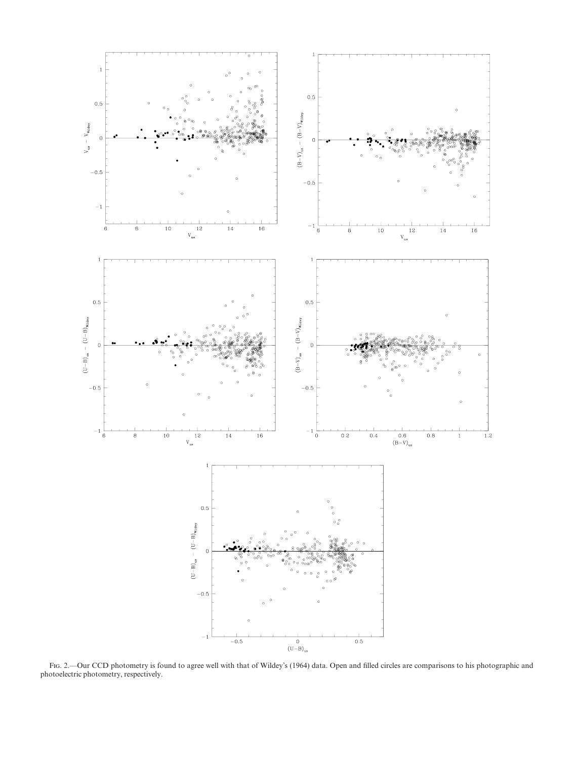

FIG. 2.—Our CCD photometry is found to agree well with that of Wildey's (1964) data. Open and filled circles are comparisons to his photographic and photoelectric photometry, respectively.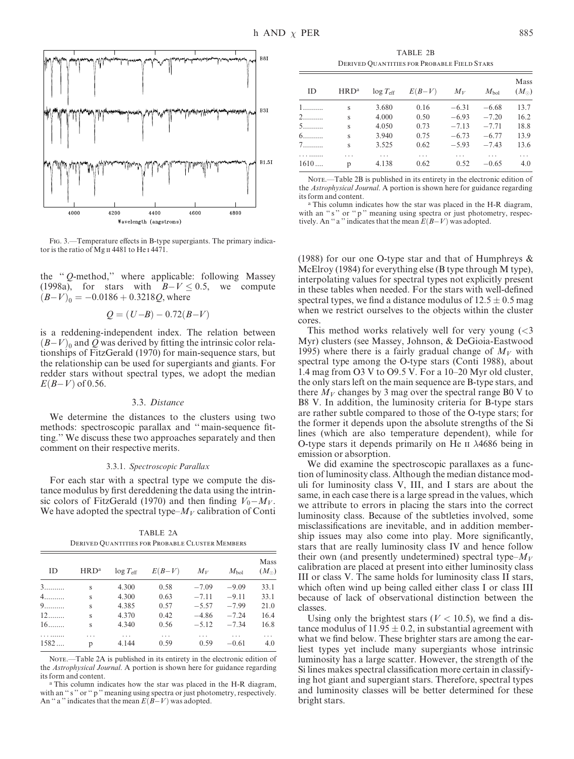

Fig. 3.—Temperature effects in B-type supergiants. The primary indicator is the ratio of Mg II 4481 to He I 4471.

the '' Q-method,'' where applicable: following Massey (1998a), for stars with  $B-V \le 0.5$ , we compute  $(B-V)_0 = -0.0186 + 0.3218Q$ , where

$$
Q = (U - B) - 0.72(B - V)
$$

is a reddening-independent index. The relation between  $(B-V)_0$  and Q was derived by fitting the intrinsic color relationships of FitzGerald (1970) for main-sequence stars, but the relationship can be used for supergiants and giants. For redder stars without spectral types, we adopt the median  $E(B-V)$  of 0.56.

### 3.3. Distance

We determine the distances to the clusters using two methods: spectroscopic parallax and '' main-sequence fitting.'' We discuss these two approaches separately and then comment on their respective merits.

### 3.3.1. Spectroscopic Parallax

For each star with a spectral type we compute the distance modulus by first dereddening the data using the intrinsic colors of FitzGerald (1970) and then finding  $V_0 - M_V$ . We have adopted the spectral type– $M_V$  calibration of Conti

TABLE 2A Derived Quantities for Probable Cluster Members

| ID   | HRD <sup>a</sup> | $log T_{\rm eff}$ | $E(B-V)$ | $M_V$   | $M_{\rm bol}$ | Mass<br>$(M_{\odot})$ |
|------|------------------|-------------------|----------|---------|---------------|-----------------------|
| 3.   | S                | 4.300             | 0.58     | $-7.09$ | $-9.09$       | 33.1                  |
| 4.   | S                | 4.300             | 0.63     | $-7.11$ | $-9.11$       | 33.1                  |
| 9    | S                | 4.385             | 0.57     | $-5.57$ | $-7.99$       | 21.0                  |
| $12$ | S                | 4.370             | 0.42     | $-4.86$ | $-7.24$       | 16.4                  |
| $16$ | S                | 4.340             | 0.56     | $-5.12$ | $-7.34$       | 16.8                  |
|      | .                | .                 | .        | .       | .             | .                     |
| 1582 | p                | 4.144             | 0.59     | 0.59    | $-0.61$       | 4.0                   |

NOTE.—Table 2A is published in its entirety in the electronic edition of the Astrophysical Journal. A portion is shown here for guidance regarding its form and content.

<sup>a</sup> This column indicates how the star was placed in the H-R diagram, with an "s" or "p" meaning using spectra or just photometry, respectively. An "a" indicates that the mean  $E(B-V)$  was adopted.

TABLE 2B Derived Quantities for Probable Field Stars

|      |         |                    |          |         |           | Mass          |
|------|---------|--------------------|----------|---------|-----------|---------------|
| ID   | $HRD^a$ | $\log T_{\rm eff}$ | $E(B-V)$ | $M_V$   | $M_{bol}$ | $(M_{\odot})$ |
| 1.   | S       | 3.680              | 0.16     | $-6.31$ | $-6.68$   | 13.7          |
| 2.   | S       | 4.000              | 0.50     | $-6.93$ | $-7.20$   | 16.2          |
| 5.   | S       | 4.050              | 0.73     | $-7.13$ | $-7.71$   | 18.8          |
| 6.   | S       | 3.940              | 0.75     | $-6.73$ | $-6.77$   | 13.9          |
| 7.   | S       | 3.525              | 0.62     | $-5.93$ | $-7.43$   | 13.6          |
|      | .       | .                  | .        | .       | .         | .             |
| 1610 | p       | 4.138              | 0.62     | 0.52    | $-0.65$   | 4.0           |

NOTE.—Table 2B is published in its entirety in the electronic edition of the Astrophysical Journal. A portion is shown here for guidance regarding its form and content.

<sup>a</sup> This column indicates how the star was placed in the H-R diagram, with an "s" or "p" meaning using spectra or just photometry, respectively. An "a" indicates that the mean  $E(B-V)$  was adopted.

(1988) for our one O-type star and that of Humphreys  $\&$ McElroy (1984) for everything else (B type through M type), interpolating values for spectral types not explicitly present in these tables when needed. For the stars with well-defined spectral types, we find a distance modulus of  $12.5 \pm 0.5$  mag when we restrict ourselves to the objects within the cluster cores.

This method works relatively well for very young  $\ll 3$ Myr) clusters (see Massey, Johnson, & DeGioia-Eastwood 1995) where there is a fairly gradual change of  $M_V$  with spectral type among the O-type stars (Conti 1988), about 1.4 mag from O3 V to O9.5 V. For a 10–20 Myr old cluster, the only stars left on the main sequence are B-type stars, and there  $M_V$  changes by 3 mag over the spectral range B0 V to B8 V. In addition, the luminosity criteria for B-type stars are rather subtle compared to those of the O-type stars; for the former it depends upon the absolute strengths of the Si lines (which are also temperature dependent), while for O-type stars it depends primarily on He  $\pi$   $\lambda$ 4686 being in emission or absorption.

We did examine the spectroscopic parallaxes as a function of luminosity class. Although the median distance moduli for luminosity class V, III, and I stars are about the same, in each case there is a large spread in the values, which we attribute to errors in placing the stars into the correct luminosity class. Because of the subtleties involved, some misclassifications are inevitable, and in addition membership issues may also come into play. More significantly, stars that are really luminosity class IV and hence follow their own (and presently undetermined) spectral type– $M_V$ calibration are placed at present into either luminosity class III or class V. The same holds for luminosity class II stars, which often wind up being called either class I or class III because of lack of observational distinction between the classes.

Using only the brightest stars ( $V < 10.5$ ), we find a distance modulus of  $11.95 \pm 0.2$ , in substantial agreement with what we find below. These brighter stars are among the earliest types yet include many supergiants whose intrinsic luminosity has a large scatter. However, the strength of the Si lines makes spectral classification more certain in classifying hot giant and supergiant stars. Therefore, spectral types and luminosity classes will be better determined for these bright stars.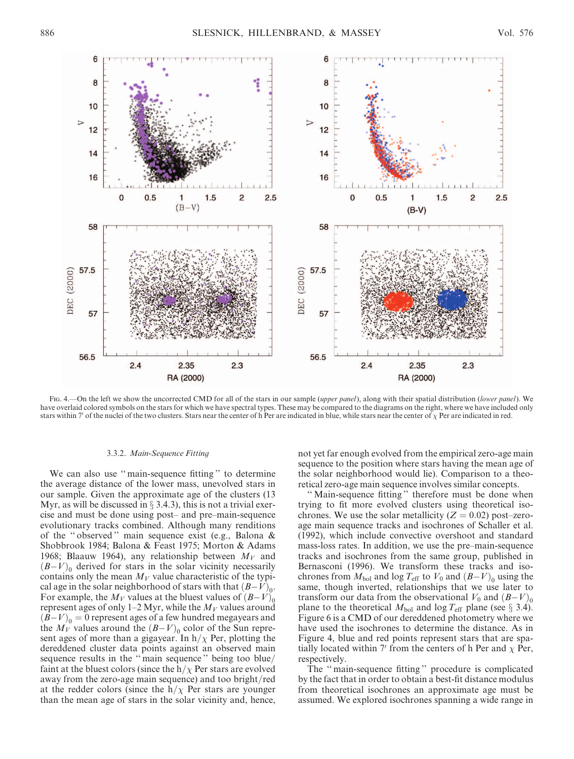

Fig. 4.—On the left we show the uncorrected CMD for all of the stars in our sample (upper panel), along with their spatial distribution (lower panel). We have overlaid colored symbols on the stars for which we have spectral types. These may be compared to the diagrams on the right, where we have included only stars within 7' of the nuclei of the two clusters. Stars near the center of h Per are indicated in blue, while stars near the center of  $\chi$  Per are indicated in red.

### 3.3.2. Main-Sequence Fitting

We can also use '' main-sequence fitting '' to determine the average distance of the lower mass, unevolved stars in our sample. Given the approximate age of the clusters (13 Myr, as will be discussed in  $\S$  3.4.3), this is not a trivial exercise and must be done using post– and pre–main-sequence evolutionary tracks combined. Although many renditions of the '' observed '' main sequence exist (e.g., Balona & Shobbrook 1984; Balona & Feast 1975; Morton & Adams 1968; Blaauw 1964), any relationship between  $M_V$  and  $(B-V)_0$  derived for stars in the solar vicinity necessarily contains only the mean  $M_V$  value characteristic of the typical age in the solar neighborhood of stars with that  $(B-V)_0$ . For example, the  $M_V$  values at the bluest values of  $(B-V)_0$ represent ages of only 1–2 Myr, while the  $M_V$  values around  $(B-V)_0 = 0$  represent ages of a few hundred megayears and the  $M_V$  values around the  $(B-V)_0$  color of the Sun represent ages of more than a gigayear. In  $h/\chi$  Per, plotting the dereddened cluster data points against an observed main sequence results in the '' main sequence '' being too blue/ faint at the bluest colors (since the  $h/\chi$  Per stars are evolved away from the zero-age main sequence) and too bright/red at the redder colors (since the  $h/\chi$  Per stars are younger than the mean age of stars in the solar vicinity and, hence, not yet far enough evolved from the empirical zero-age main sequence to the position where stars having the mean age of the solar neighborhood would lie). Comparison to a theoretical zero-age main sequence involves similar concepts.

'' Main-sequence fitting '' therefore must be done when trying to fit more evolved clusters using theoretical isochrones. We use the solar metallicity ( $Z = 0.02$ ) post–zeroage main sequence tracks and isochrones of Schaller et al. (1992), which include convective overshoot and standard mass-loss rates. In addition, we use the pre–main-sequence tracks and isochrones from the same group, published in Bernasconi (1996). We transform these tracks and isochrones from  $M_{bol}$  and log  $T_{\text{eff}}$  to  $V_0$  and  $(B-V)_0$  using the same, though inverted, relationships that we use later to transform our data from the observational  $V_0$  and  $(B-V)_0$ plane to the theoretical  $M_{bol}$  and log  $T_{eff}$  plane (see § 3.4). Figure 6 is a CMD of our dereddened photometry where we have used the isochrones to determine the distance. As in Figure 4, blue and red points represent stars that are spatially located within 7' from the centers of h Per and  $\chi$  Per, respectively.

The '' main-sequence fitting '' procedure is complicated by the fact that in order to obtain a best-fit distance modulus from theoretical isochrones an approximate age must be assumed. We explored isochrones spanning a wide range in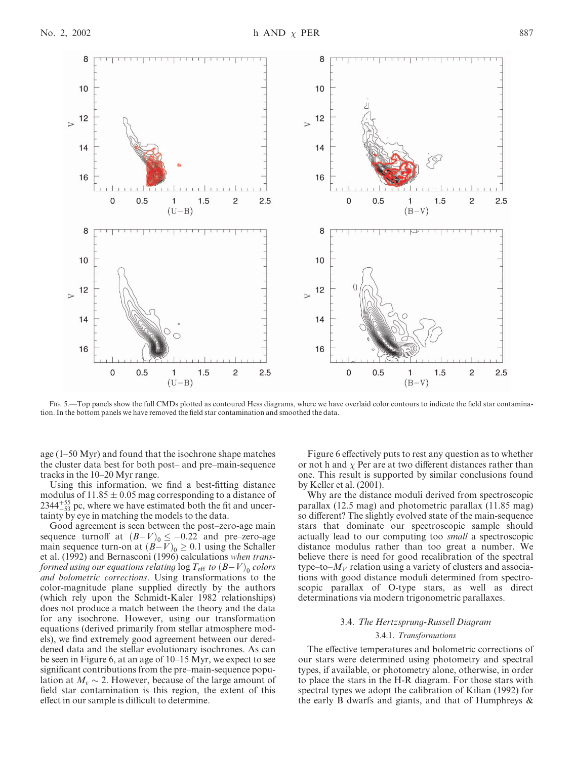

Fig. 5.—Top panels show the full CMDs plotted as contoured Hess diagrams, where we have overlaid color contours to indicate the field star contamination. In the bottom panels we have removed the field star contamination and smoothed the data.

age (1–50 Myr) and found that the isochrone shape matches the cluster data best for both post– and pre–main-sequence tracks in the 10–20 Myr range.

Using this information, we find a best-fitting distance modulus of  $11.85 \pm 0.05$  mag corresponding to a distance of  $2344_{-53}^{+55}$  pc, where we have estimated both the fit and uncertainty by eye in matching the models to the data.

Good agreement is seen between the post–zero-age main sequence turnoff at  $(B-V)_0 \le -0.22$  and pre–zero-age main sequence turn-on at  $(B-V)_0 \ge 0.1$  using the Schaller et al. (1992) and Bernasconi (1996) calculations when transformed using our equations relating  $\log T_{\rm eff}$  to  $(B{-}V)_{0}$  colors and bolometric corrections. Using transformations to the color-magnitude plane supplied directly by the authors (which rely upon the Schmidt-Kaler 1982 relationships) does not produce a match between the theory and the data for any isochrone. However, using our transformation equations (derived primarily from stellar atmosphere models), we find extremely good agreement between our dereddened data and the stellar evolutionary isochrones. As can be seen in Figure 6, at an age of 10–15 Myr, we expect to see significant contributions from the pre–main-sequence population at  $M_v \sim 2$ . However, because of the large amount of field star contamination is this region, the extent of this effect in our sample is difficult to determine.

Figure 6 effectively puts to rest any question as to whether or not h and  $\chi$  Per are at two different distances rather than one. This result is supported by similar conclusions found by Keller et al. (2001).

Why are the distance moduli derived from spectroscopic parallax (12.5 mag) and photometric parallax (11.85 mag) so different? The slightly evolved state of the main-sequence stars that dominate our spectroscopic sample should actually lead to our computing too small a spectroscopic distance modulus rather than too great a number. We believe there is need for good recalibration of the spectral type–to– $M_V$  relation using a variety of clusters and associations with good distance moduli determined from spectroscopic parallax of O-type stars, as well as direct determinations via modern trigonometric parallaxes.

# 3.4. The Hertzsprung-Russell Diagram

## 3.4.1. Transformations

The effective temperatures and bolometric corrections of our stars were determined using photometry and spectral types, if available, or photometry alone, otherwise, in order to place the stars in the H-R diagram. For those stars with spectral types we adopt the calibration of Kilian (1992) for the early B dwarfs and giants, and that of Humphreys &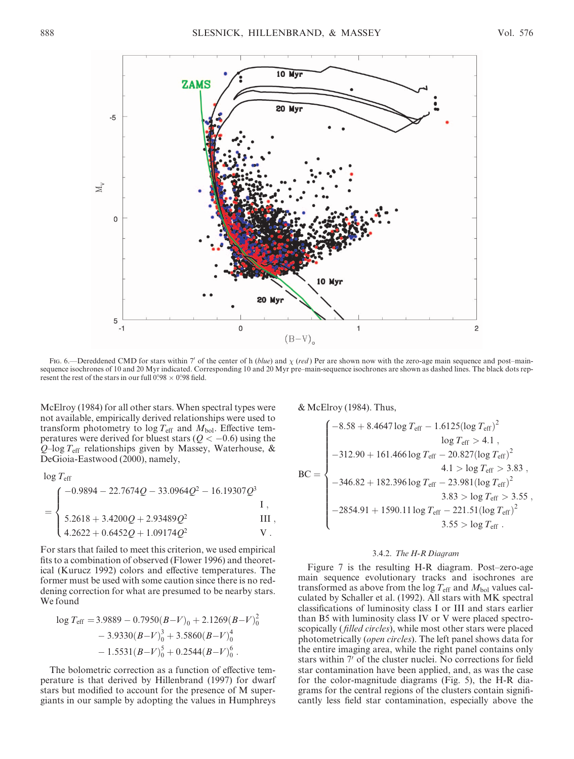

Fig. 6.—Dereddened CMD for stars within 7' of the center of h (blue) and  $\chi$  (red) Per are shown now with the zero-age main sequence and post–mainsequence isochrones of 10 and 20 Myr indicated. Corresponding 10 and 20 Myr pre–main-sequence isochrones are shown as dashed lines. The black dots represent the rest of the stars in our full  $0.98 \times 0.98$  field.

McElroy (1984) for all other stars. When spectral types were not available, empirically derived relationships were used to transform photometry to  $\log T_{\text{eff}}$  and  $M_{\text{bol}}$ . Effective temperatures were derived for bluest stars ( $Q < -0.6$ ) using the  $Q$ –log  $T_{\text{eff}}$  relationships given by Massey, Waterhouse, & DeGioia-Eastwood (2000), namely,

 $log T_{\text{eff}}$ 

$$
= \begin{cases}\n-0.9894 - 22.7674Q - 33.0964Q^2 - 16.19307Q^3 \\
5.2618 + 3.4200Q + 2.93489Q^2\n\end{cases}
$$
\nII,   
\n4.2622 + 0.6452Q + 1.09174Q<sup>2</sup> V.

For stars that failed to meet this criterion, we used empirical fits to a combination of observed (Flower 1996) and theoretical (Kurucz 1992) colors and effective temperatures. The former must be used with some caution since there is no reddening correction for what are presumed to be nearby stars. We found

$$
\log T_{\text{eff}} = 3.9889 - 0.7950(B-V)_0 + 2.1269(B-V)_0^2
$$
  
- 3.9330(B-V)\_0^3 + 3.5860(B-V)\_0^4  
- 1.5531(B-V)\_0^5 + 0.2544(B-V)\_0^6.

The bolometric correction as a function of effective temperature is that derived by Hillenbrand (1997) for dwarf stars but modified to account for the presence of M supergiants in our sample by adopting the values in Humphreys

& McElroy (1984). Thus,

$$
BC = \begin{cases}\n-8.58 + 8.4647 \log T_{eff} - 1.6125 (\log T_{eff})^2 \\
\log T_{eff} > 4.1, \\
-312.90 + 161.466 \log T_{eff} - 20.827 (\log T_{eff})^2 \\
4.1 > \log T_{eff} > 3.83, \\
-346.82 + 182.396 \log T_{eff} - 23.981 (\log T_{eff})^2 \\
3.83 > \log T_{eff} > 3.55, \\
-2854.91 + 1590.11 \log T_{eff} - 221.51 (\log T_{eff})^2 \\
3.55 > \log T_{eff}.\n\end{cases}
$$

## 3.4.2. The H-R Diagram

Figure 7 is the resulting H-R diagram. Post–zero-age main sequence evolutionary tracks and isochrones are transformed as above from the log  $T_{\text{eff}}$  and  $M_{\text{bol}}$  values calculated by Schaller et al. (1992). All stars with MK spectral classifications of luminosity class I or III and stars earlier than B5 with luminosity class IV or V were placed spectroscopically (*filled circles*), while most other stars were placed photometrically (open circles). The left panel shows data for the entire imaging area, while the right panel contains only stars within 7' of the cluster nuclei. No corrections for field star contamination have been applied, and, as was the case for the color-magnitude diagrams (Fig. 5), the H-R diagrams for the central regions of the clusters contain significantly less field star contamination, especially above the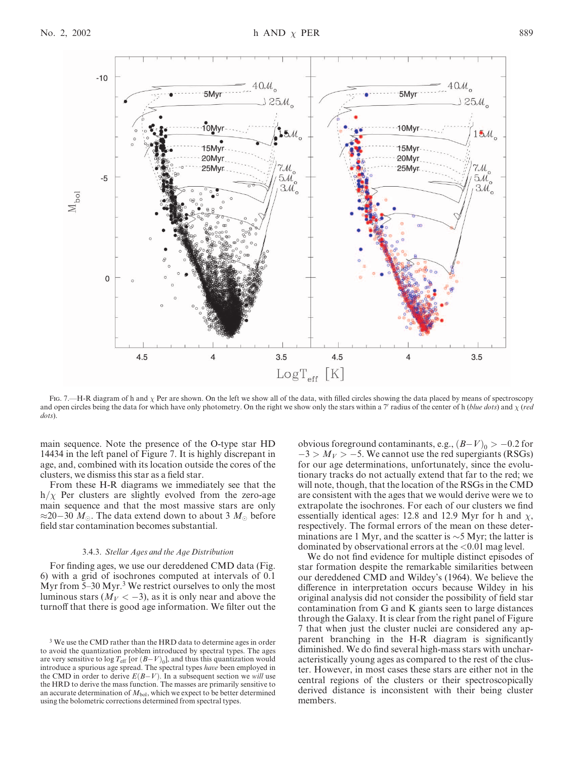

Fig. 7.—H-R diagram of h and  $\chi$  Per are shown. On the left we show all of the data, with filled circles showing the data placed by means of spectroscopy and open circles being the data for which have only photometry. On the right we show only the stars within a 7' radius of the center of h (blue dots) and  $\chi$  (red dots).

main sequence. Note the presence of the O-type star HD 14434 in the left panel of Figure 7. It is highly discrepant in age, and, combined with its location outside the cores of the clusters, we dismiss this star as a field star.

From these H-R diagrams we immediately see that the  $h/\chi$  Per clusters are slightly evolved from the zero-age main sequence and that the most massive stars are only  $\approx$ 20–30  $M_{\odot}$ . The data extend down to about 3  $M_{\odot}$  before field star contamination becomes substantial.

### 3.4.3. Stellar Ages and the Age Distribution

For finding ages, we use our dereddened CMD data (Fig. 6) with a grid of isochrones computed at intervals of 0.1 Myr from  $5-30$  Myr.<sup>3</sup> We restrict ourselves to only the most luminous stars ( $M_V < -3$ ), as it is only near and above the turnoff that there is good age information. We filter out the

obvious foreground contaminants, e.g.,  $(B-V)_0 > -0.2$  for  $-3 > M_V > -5$ . We cannot use the red supergiants (RSGs) for our age determinations, unfortunately, since the evolutionary tracks do not actually extend that far to the red; we will note, though, that the location of the RSGs in the CMD are consistent with the ages that we would derive were we to extrapolate the isochrones. For each of our clusters we find essentially identical ages: 12.8 and 12.9 Myr for h and  $\chi$ , respectively. The formal errors of the mean on these determinations are 1 Myr, and the scatter is  $\sim$  5 Myr; the latter is dominated by observational errors at the <0.01 mag level.

We do not find evidence for multiple distinct episodes of star formation despite the remarkable similarities between our dereddened CMD and Wildey's (1964). We believe the difference in interpretation occurs because Wildey in his original analysis did not consider the possibility of field star contamination from G and K giants seen to large distances through the Galaxy. It is clear from the right panel of Figure 7 that when just the cluster nuclei are considered any apparent branching in the H-R diagram is significantly diminished. We do find several high-mass stars with uncharacteristically young ages as compared to the rest of the cluster. However, in most cases these stars are either not in the central regions of the clusters or their spectroscopically derived distance is inconsistent with their being cluster members.

<sup>&</sup>lt;sup>3</sup> We use the CMD rather than the HRD data to determine ages in order to avoid the quantization problem introduced by spectral types. The ages are very sensitive to  $\log T_{\rm eff}$  [or  $(B-V)_{\rm 0}$ ], and thus this quantization would introduce a spurious age spread. The spectral types have been employed in the CMD in order to derive  $E(B-V)$ . In a subsequent section we will use the HRD to derive the mass function. The masses are primarily sensitive to an accurate determination of  $M_{bol}$ , which we expect to be better determined using the bolometric corrections determined from spectral types.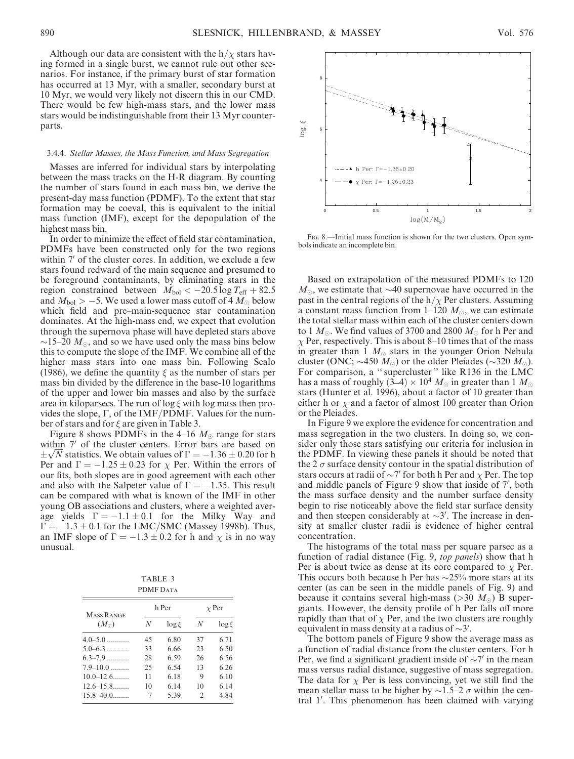Although our data are consistent with the  $h/\chi$  stars having formed in a single burst, we cannot rule out other scenarios. For instance, if the primary burst of star formation has occurred at 13 Myr, with a smaller, secondary burst at 10 Myr, we would very likely not discern this in our CMD. There would be few high-mass stars, and the lower mass stars would be indistinguishable from their 13 Myr counterparts.

### 3.4.4. Stellar Masses, the Mass Function, and Mass Segregation

Masses are inferred for individual stars by interpolating between the mass tracks on the H-R diagram. By counting the number of stars found in each mass bin, we derive the present-day mass function (PDMF). To the extent that star formation may be coeval, this is equivalent to the initial mass function (IMF), except for the depopulation of the highest mass bin.

In order to minimize the effect of field star contamination, PDMFs have been constructed only for the two regions within 7' of the cluster cores. In addition, we exclude a few stars found redward of the main sequence and presumed to be foreground contaminants, by eliminating stars in the region constrained between  $M_{bol} < -20.5 \log T_{eff} + 82.5$ and  $M_{\rm bol} > -5.$  We used a lower mass cutoff of 4  $M_{\odot}$  below which field and pre–main-sequence star contamination dominates. At the high-mass end, we expect that evolution through the supernova phase will have depleted stars above  $\sim$ 15–20  $M_{\odot}$ , and so we have used only the mass bins below this to compute the slope of the IMF. We combine all of the higher mass stars into one mass bin. Following Scalo (1986), we define the quantity  $\xi$  as the number of stars per mass bin divided by the difference in the base-10 logarithms of the upper and lower bin masses and also by the surface area in kiloparsecs. The run of  $\log \xi$  with log mass then provides the slope,  $\Gamma$ , of the IMF/PDMF. Values for the number of stars and for  $\xi$  are given in Table 3.

Figure 8 shows PDMFs in the 4–16  $M_{\odot}$  range for stars within 7' of the cluster centers. Error bars are based on within *''* of the cluster centers. Error bars are based on  $\pm\sqrt{N}$  statistics. We obtain values of  $\Gamma = -1.36 \pm 0.20$  for h Per and  $\Gamma = -1.25 \pm 0.23$  for  $\chi$  Per. Within the errors of our fits, both slopes are in good agreement with each other and also with the Salpeter value of  $\Gamma = -1.35$ . This result can be compared with what is known of the IMF in other young OB associations and clusters, where a weighted average yields  $\Gamma = -1.1 \pm 0.1$  for the Milky Way and  $\Gamma = -1.3 \pm 0.1$  for the LMC/SMC (Massey 1998b). Thus, an IMF slope of  $\Gamma = -1.3 \pm 0.2$  for h and  $\chi$  is in no way unusual.

TABLE 3 PDMF DATA

| <b>MASS RANGE</b> |    | h Per      | $\chi$ Per                  |            |  |
|-------------------|----|------------|-----------------------------|------------|--|
| $(M_{\odot})$     | N  | $\log \xi$ | N                           | $\log \xi$ |  |
| $4.0 - 5.0$       | 45 | 6.80       | 37                          | 6.71       |  |
| $5.0 - 6.3$       | 33 | 6.66       | 23                          | 6.50       |  |
| $63 - 79$         | 28 | 6.59       | 26                          | 6.56       |  |
| $7.9 - 10.0$      | 25 | 6.54       | 13                          | 6.26       |  |
| $10.0 - 12.6$     | 11 | 6.18       | 9                           | 6.10       |  |
| $12.6 - 15.8$     | 10 | 6.14       | 10                          | 6 14       |  |
| $15.8 - 40.0$     | 7  | 5.39       | $\mathcal{D}_{\mathcal{L}}$ | 4.84       |  |



Fig. 8.—Initial mass function is shown for the two clusters. Open symbols indicate an incomplete bin.

Based on extrapolation of the measured PDMFs to 120  $M_{\odot}$ , we estimate that  $\sim$ 40 supernovae have occurred in the past in the central regions of the  $h/\chi$  Per clusters. Assuming a constant mass function from 1–120  $M_{\odot}$ , we can estimate the total stellar mass within each of the cluster centers down to 1  $M_{\odot}$ . We find values of 3700 and 2800  $M_{\odot}$  for h Per and  $\chi$  Per, respectively. This is about 8–10 times that of the mass in greater than 1  $M_{\odot}$  stars in the younger Orion Nebula cluster (ONC;  $\sim$ 450  $M_{\odot}$ ) or the older Pleiades ( $\sim$ 320  $M_{\odot}$ ). For comparison, a '' supercluster '' like R136 in the LMC has a mass of roughly (3–4)  $\times$  10<sup>4</sup>  $M_{\odot}$  in greater than 1  $M_{\odot}$ stars (Hunter et al. 1996), about a factor of 10 greater than either h or  $\chi$  and a factor of almost 100 greater than Orion or the Pleiades.

In Figure 9 we explore the evidence for concentration and mass segregation in the two clusters. In doing so, we consider only those stars satisfying our criteria for inclusion in the PDMF. In viewing these panels it should be noted that the 2  $\sigma$  surface density contour in the spatial distribution of stars occurs at radii of  $\sim$ 7' for both h Per and  $\chi$  Per. The top and middle panels of Figure 9 show that inside of 7', both the mass surface density and the number surface density begin to rise noticeably above the field star surface density and then steepen considerably at  $\sim$ 3'. The increase in density at smaller cluster radii is evidence of higher central concentration.

The histograms of the total mass per square parsec as a function of radial distance (Fig. 9, top panels) show that h Per is about twice as dense at its core compared to  $\chi$  Per. This occurs both because h Per has  $\sim$ 25% more stars at its center (as can be seen in the middle panels of Fig. 9) and because it contains several high-mass ( $>$ 30  $M_{\odot}$ ) B supergiants. However, the density profile of h Per falls off more rapidly than that of  $\chi$  Per, and the two clusters are roughly equivalent in mass density at a radius of  $\sim$ 3'.

The bottom panels of Figure 9 show the average mass as a function of radial distance from the cluster centers. For h Per, we find a significant gradient inside of  $\sim$ 7' in the mean mass versus radial distance, suggestive of mass segregation. The data for  $\chi$  Per is less convincing, yet we still find the mean stellar mass to be higher by  $\sim$ 1.5–2  $\sigma$  within the central 1'. This phenomenon has been claimed with varying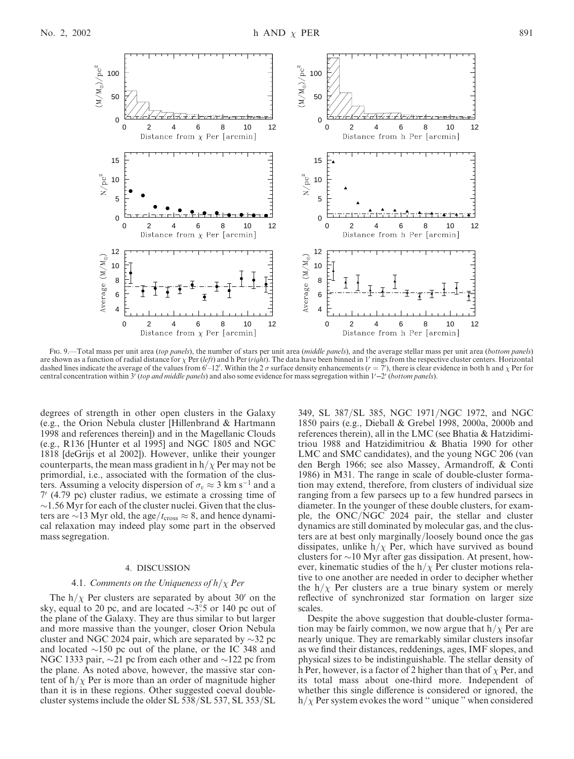

Fig. 9.—Total mass per unit area (top panels), the number of stars per unit area (middle panels), and the average stellar mass per unit area (bottom panels) are shown as a function of radial distance for  $\chi$  Per (left) and h Per (right). The data have been binned in 1' rings from the respective cluster centers. Horizontal dashed lines indicate the average of the values from  $6\text{--}12'$ . Within the 2  $\sigma$  surface density enhancements  $(r = 7')$ , there is clear evidence in both h and  $\chi$  Per for central concentration within  $3^{\prime}$  (top and middle panels) and also some evidence for mass segregation within  $1^{\prime}-2^{\prime}$  (bottom panels).

degrees of strength in other open clusters in the Galaxy (e.g., the Orion Nebula cluster [Hillenbrand & Hartmann 1998 and references therein]) and in the Magellanic Clouds (e.g., R136 [Hunter et al 1995] and NGC 1805 and NGC 1818 [deGrijs et al 2002]). However, unlike their younger counterparts, the mean mass gradient in  $h/\chi$  Per may not be primordial, i.e., associated with the formation of the clusters. Assuming a velocity dispersion of  $\sigma_v \approx 3 \text{ km s}^{-1}$  and a  $7'$  (4.79 pc) cluster radius, we estimate a crossing time of  $\sim$ 1.56 Myr for each of the cluster nuclei. Given that the clusters are  $\sim$ 13 Myr old, the age/ $t_{\text{cross}} \approx 8$ , and hence dynamical relaxation may indeed play some part in the observed mass segregation.

### 4. DISCUSSION

## 4.1. Comments on the Uniqueness of  $h/\chi$  Per

The h/ $\chi$  Per clusters are separated by about 30' on the sky, equal to 20 pc, and are located  $\sim$ 3°.5 or 140 pc out of the plane of the Galaxy. They are thus similar to but larger and more massive than the younger, closer Orion Nebula cluster and NGC 2024 pair, which are separated by  $\sim$ 32 pc and located  $\sim$ 150 pc out of the plane, or the IC 348 and NGC 1333 pair,  $\sim$ 21 pc from each other and  $\sim$ 122 pc from the plane. As noted above, however, the massive star content of  $h/\chi$  Per is more than an order of magnitude higher than it is in these regions. Other suggested coeval doublecluster systems include the older SL 538/SL 537, SL 353/SL

349, SL 387/SL 385, NGC 1971/NGC 1972, and NGC 1850 pairs (e.g., Dieball & Grebel 1998, 2000a, 2000b and references therein), all in the LMC (see Bhatia & Hatzidimitriou 1988 and Hatzidimitriou & Bhatia 1990 for other LMC and SMC candidates), and the young NGC 206 (van den Bergh 1966; see also Massey, Armandroff, & Conti 1986) in M31. The range in scale of double-cluster formation may extend, therefore, from clusters of individual size ranging from a few parsecs up to a few hundred parsecs in diameter. In the younger of these double clusters, for example, the ONC/NGC 2024 pair, the stellar and cluster dynamics are still dominated by molecular gas, and the clusters are at best only marginally/loosely bound once the gas dissipates, unlike  $h/\chi$  Per, which have survived as bound clusters for  $\sim$ 10 Myr after gas dissipation. At present, however, kinematic studies of the  $h/\chi$  Per cluster motions relative to one another are needed in order to decipher whether the h/ $\chi$  Per clusters are a true binary system or merely reflective of synchronized star formation on larger size scales.

Despite the above suggestion that double-cluster formation may be fairly common, we now argue that  $h/\chi$  Per are nearly unique. They are remarkably similar clusters insofar as we find their distances, reddenings, ages, IMF slopes, and physical sizes to be indistinguishable. The stellar density of h Per, however, is a factor of 2 higher than that of  $\chi$  Per, and its total mass about one-third more. Independent of whether this single difference is considered or ignored, the  $h/\chi$  Per system evokes the word "unique" when considered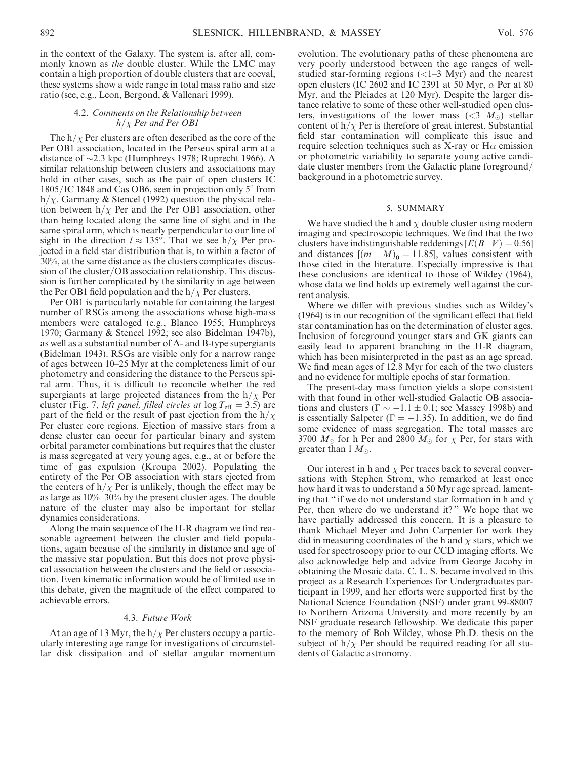in the context of the Galaxy. The system is, after all, commonly known as the double cluster. While the LMC may contain a high proportion of double clusters that are coeval, these systems show a wide range in total mass ratio and size ratio (see, e.g., Leon, Bergond, & Vallenari 1999).

### 4.2. Comments on the Relationship between  $h/\chi$  Per and Per OB1

The  $h/\chi$  Per clusters are often described as the core of the Per OB1 association, located in the Perseus spiral arm at a distance of  $\sim$ 2.3 kpc (Humphreys 1978; Ruprecht 1966). A similar relationship between clusters and associations may hold in other cases, such as the pair of open clusters IC  $1805/IC$  1848 and Cas OB6, seen in projection only 5 $\degree$  from h/ $\chi$ . Garmany & Stencel (1992) question the physical relation between  $h/\chi$  Per and the Per OB1 association, other than being located along the same line of sight and in the same spiral arm, which is nearly perpendicular to our line of sight in the direction  $l \approx 135^\circ$ . That we see h/ $\chi$  Per projected in a field star distribution that is, to within a factor of 30%, at the same distance as the clusters complicates discussion of the cluster/OB association relationship. This discussion is further complicated by the similarity in age between the Per OB1 field population and the  $h/\chi$  Per clusters.

Per OB1 is particularly notable for containing the largest number of RSGs among the associations whose high-mass members were cataloged (e.g., Blanco 1955; Humphreys 1970; Garmany & Stencel 1992; see also Bidelman 1947b), as well as a substantial number of A- and B-type supergiants (Bidelman 1943). RSGs are visible only for a narrow range of ages between 10–25 Myr at the completeness limit of our photometry and considering the distance to the Perseus spiral arm. Thus, it is difficult to reconcile whether the red supergiants at large projected distances from the  $h/\chi$  Per cluster (Fig. 7, *left panel, filled circles at*  $log T_{\text{eff}} = 3.5$ ) are part of the field or the result of past ejection from the  $h/\chi$ Per cluster core regions. Ejection of massive stars from a dense cluster can occur for particular binary and system orbital parameter combinations but requires that the cluster is mass segregated at very young ages, e.g., at or before the time of gas expulsion (Kroupa 2002). Populating the entirety of the Per OB association with stars ejected from the centers of  $h/\chi$  Per is unlikely, though the effect may be as large as 10%–30% by the present cluster ages. The double nature of the cluster may also be important for stellar dynamics considerations.

Along the main sequence of the H-R diagram we find reasonable agreement between the cluster and field populations, again because of the similarity in distance and age of the massive star population. But this does not prove physical association between the clusters and the field or association. Even kinematic information would be of limited use in this debate, given the magnitude of the effect compared to achievable errors.

## 4.3. Future Work

At an age of 13 Myr, the  $h/\chi$  Per clusters occupy a particularly interesting age range for investigations of circumstellar disk dissipation and of stellar angular momentum evolution. The evolutionary paths of these phenomena are very poorly understood between the age ranges of wellstudied star-forming regions (<1–3 Myr) and the nearest open clusters (IC 2602 and IC 2391 at 50 Myr,  $\alpha$  Per at 80 Myr, and the Pleiades at 120 Myr). Despite the larger distance relative to some of these other well-studied open clusters, investigations of the lower mass ( $\langle 3 \ M_{\odot} \rangle$  stellar content of  $h/\chi$  Per is therefore of great interest. Substantial field star contamination will complicate this issue and require selection techniques such as X-ray or  $H\alpha$  emission or photometric variability to separate young active candidate cluster members from the Galactic plane foreground/ background in a photometric survey.

### 5. SUMMARY

We have studied the h and  $\chi$  double cluster using modern imaging and spectroscopic techniques. We find that the two clusters have indistinguishable reddenings  $[E(B-V) = 0.56]$ and distances  $[(m - M)_0 = 11.85]$ , values consistent with those cited in the literature. Especially impressive is that these conclusions are identical to those of Wildey (1964), whose data we find holds up extremely well against the current analysis.

Where we differ with previous studies such as Wildey's (1964) is in our recognition of the significant effect that field star contamination has on the determination of cluster ages. Inclusion of foreground younger stars and GK giants can easily lead to apparent branching in the H-R diagram, which has been misinterpreted in the past as an age spread. We find mean ages of 12.8 Myr for each of the two clusters and no evidence for multiple epochs of star formation.

The present-day mass function yields a slope consistent with that found in other well-studied Galactic OB associations and clusters ( $\Gamma \sim -1.1 \pm 0.1$ ; see Massey 1998b) and is essentially Salpeter ( $\Gamma = -1.35$ ). In addition, we do find some evidence of mass segregation. The total masses are 3700  $M_{\odot}$  for h Per and 2800  $M_{\odot}$  for  $\chi$  Per, for stars with greater than 1  $M_{\odot}$ .

Our interest in h and  $\chi$  Per traces back to several conversations with Stephen Strom, who remarked at least once how hard it was to understand a 50 Myr age spread, lamenting that " if we do not understand star formation in h and  $\chi$ Per, then where do we understand it?" We hope that we have partially addressed this concern. It is a pleasure to thank Michael Meyer and John Carpenter for work they did in measuring coordinates of the h and  $\chi$  stars, which we used for spectroscopy prior to our CCD imaging efforts. We also acknowledge help and advice from George Jacoby in obtaining the Mosaic data. C. L. S. became involved in this project as a Research Experiences for Undergraduates participant in 1999, and her efforts were supported first by the National Science Foundation (NSF) under grant 99-88007 to Northern Arizona University and more recently by an NSF graduate research fellowship. We dedicate this paper to the memory of Bob Wildey, whose Ph.D. thesis on the subject of  $h/\chi$  Per should be required reading for all students of Galactic astronomy.